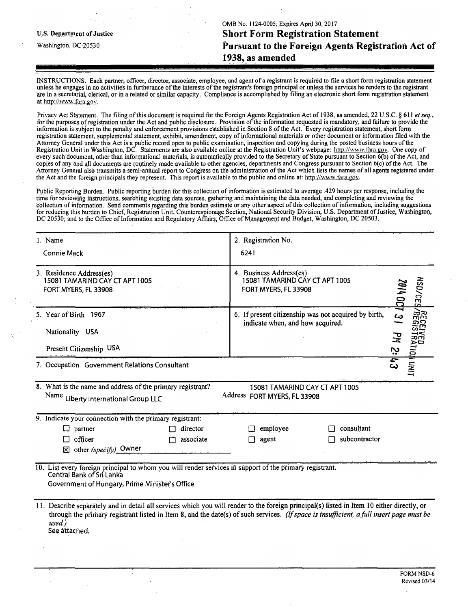OMB No. 1124-0005; Expires April 30, 2017 **u.s. Department of justice Short Form Registration Statement**  Washington, DC 20530 **Pursuant to the Foreign Agents Registration Act of 1938, as amended** 

INSTRUCTIONS. Each partner, officer, director, associate, employee, and agent ofa registrant is required to file a short form registration statement unless he engages in no activities in furtherance of the interests of the registrant's foreign principal or unless the services he renders to the registrant are in a secretarial, clerical, or in a related or similar capacity. Compliance is accomplished by filing an electronic short form registration statement at http://www.fara.gov.

Privacy Act Statement. The filing of this document is required for the Foreign Agents Registration Act of 1938, as amended, 22 U.S.C. § 611 et seq., for the purposes of registration under the Act and public disclosure. Provision of the information requested is mandatory, and failure to provide the information is subject to the penalty and enforcement provisions established in Section 8 of the Act. Every registration statement, short form registration statement, supplemental statement, exhibit, amendment, copy of informational materials or other document or information filed with the Attorney General under this Act is a public record open to public examination, inspection and copying during the posted business hours of the Registration Unit in Washington, DC. Statements are also available online at the Registration Unit's webpage: http://www.fara.gov. One copy of every such document, other than informational materials, is automatically provided to the Secretary of State pursuant to Section 6(b) of the Act, and copies of any and all documents are routinely made available to other agencies, departments and Congress pursuant to Section 6(c) of the Act. The Attorney General also transmits a semi-annual report to Congress on the administration of the Act which lists the names of all agents registered under the Act and the foreign principals they represent. This report is available to the public and online at: http://www.fara.gov.

Public Reporting Burden. Public reporting burden for this collection of information is estimated to average .429 hours per response, including the time for reviewing instructions, searching existing data sources, gathering and maintaining the data needed, and completing and reviewing the collection of information. Send comments regarding this burden estimate or any other aspect of this collection of information, including suggestions for reducing this burden to Chief, Registration Unit, Counterespionage Section, National Security Division, U.S. Department of Justice, Washington, DC 20530; and to the Office of Information and Regulatory Affairs, Office of Management and Budget, Washington, DC 20503.

| 1. Name                                                                                                                                                                                                                                                                                                           | 2. Registration No.                                                                      |                             |                                                   |  |
|-------------------------------------------------------------------------------------------------------------------------------------------------------------------------------------------------------------------------------------------------------------------------------------------------------------------|------------------------------------------------------------------------------------------|-----------------------------|---------------------------------------------------|--|
| Connie Mack                                                                                                                                                                                                                                                                                                       | 6241                                                                                     |                             |                                                   |  |
| 3. Residence Address(es)<br>15081 TAMARIND CAY CT APT 1005<br>FORT MYERS, FL 33908                                                                                                                                                                                                                                | 4. Business Address(es)<br>15081 TAMARIND CAY CT APT 1005<br>FORT MYERS, FL 33908        | NSD/CES<br>100 hoz          |                                                   |  |
| 5. Year of Birth 1967<br>Nationality USA<br>Present Citizenship USA                                                                                                                                                                                                                                               | 6. If present citizenship was not acquired by birth,<br>indicate when, and how acquired. |                             | mu<br>Su<br>ယ<br>ຕ⊡<br>$\overline{a}$<br>マル<br>رن |  |
| 7. Occupation Government Relations Consultant                                                                                                                                                                                                                                                                     |                                                                                          |                             | <b>TIRU HOITARTI</b><br>$\epsilon$                |  |
| 8. What is the name and address of the primary registrant?<br>Name<br>Liberty International Group LLC                                                                                                                                                                                                             | 15081 TAMARIND CAY CT APT 1005<br>Address FORT MYERS, FL 33908                           |                             |                                                   |  |
| 9. Indicate your connection with the primary registrant:                                                                                                                                                                                                                                                          |                                                                                          |                             |                                                   |  |
| director<br>⊡<br>partner<br>officer<br>associate<br>П<br>other (specify) Owner<br>冈                                                                                                                                                                                                                               | employee<br>agent                                                                        | consultant<br>subcontractor |                                                   |  |
| 10. List every foreign principal to whom you will render services in support of the primary registrant.<br>Central Bank of Sri Lanka<br>Government of Hungary, Prime Minister's Office                                                                                                                            |                                                                                          |                             |                                                   |  |
| 11. Describe separately and in detail all services which you will render to the foreign principal(s) listed in Item 10 either directly, or<br>through the primary registrant listed in Item 8, and the date(s) of such services. (If space is insufficient, a full insert page must be<br>used.)<br>See attached. |                                                                                          |                             |                                                   |  |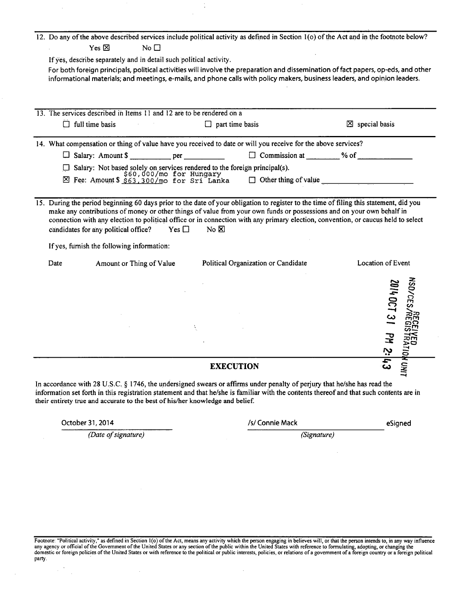|      |                                                                       | 12. Do any of the above described services include political activity as defined in Section 1(o) of the Act and in the footnote below?                                                                                                                                                                                                                                                                                     |                                             |                                                                 |
|------|-----------------------------------------------------------------------|----------------------------------------------------------------------------------------------------------------------------------------------------------------------------------------------------------------------------------------------------------------------------------------------------------------------------------------------------------------------------------------------------------------------------|---------------------------------------------|-----------------------------------------------------------------|
|      | $Yes \boxtimes$<br>No $\Box$                                          |                                                                                                                                                                                                                                                                                                                                                                                                                            |                                             |                                                                 |
|      | If yes, describe separately and in detail such political activity.    |                                                                                                                                                                                                                                                                                                                                                                                                                            |                                             |                                                                 |
|      |                                                                       | For both foreign principals, political activities will involve the preparation and dissemination of fact papers, op-eds, and other<br>informational materials; and meetings, e-mails, and phone calls with policy makers, business leaders, and opinion leaders.                                                                                                                                                           |                                             |                                                                 |
|      | 13. The services described in Items 11 and 12 are to be rendered on a |                                                                                                                                                                                                                                                                                                                                                                                                                            |                                             |                                                                 |
| □    | full time basis                                                       | $\Box$ part time basis                                                                                                                                                                                                                                                                                                                                                                                                     |                                             | $\boxtimes$ special basis                                       |
|      |                                                                       | 14. What compensation or thing of value have you received to date or will you receive for the above services?                                                                                                                                                                                                                                                                                                              |                                             |                                                                 |
|      |                                                                       |                                                                                                                                                                                                                                                                                                                                                                                                                            | $\Box$ Commission at $\qquad$ % of $\qquad$ |                                                                 |
|      |                                                                       |                                                                                                                                                                                                                                                                                                                                                                                                                            |                                             |                                                                 |
|      |                                                                       | □ Salary: Not based solely on services rendered to the foreign principal(s).<br>$\boxtimes$ Fee: Amount \$ \$63,300/mo for Sri Lanka □ Other thing                                                                                                                                                                                                                                                                         | Other thing of value                        |                                                                 |
|      |                                                                       |                                                                                                                                                                                                                                                                                                                                                                                                                            |                                             |                                                                 |
|      | candidates for any political office?<br>Yes $\square$                 | 15. During the period beginning 60 days prior to the date of your obligation to register to the time of filing this statement, did you<br>make any contributions of money or other things of value from your own funds or possessions and on your own behalf in<br>connection with any election to political office or in connection with any primary election, convention, or caucus held to select<br>$No \n  \boxtimes$ |                                             |                                                                 |
|      | If yes, furnish the following information:                            |                                                                                                                                                                                                                                                                                                                                                                                                                            |                                             |                                                                 |
| Date | Amount or Thing of Value                                              | Political Organization or Candidate                                                                                                                                                                                                                                                                                                                                                                                        |                                             | Location of Event                                               |
|      |                                                                       |                                                                                                                                                                                                                                                                                                                                                                                                                            |                                             | <b>MSD/CES</b><br>2014 0CT 31<br><b>PM 2:43</b><br>ED<br>RATIOI |
|      |                                                                       | <b>EXECUTION</b>                                                                                                                                                                                                                                                                                                                                                                                                           |                                             | NOW!                                                            |

*az.*  In accordance with 28 U.S.C. § 1746, the undersigned swears or affirms under penalty of perjury that he/she has read the information set forth in this registration statement and that he/she is familiar with the contents thereof and that such contents are in their entirety true and accurate to the best of his/her knowledge and belief.

| October 31, 2014 |  |  |
|------------------|--|--|
|------------------|--|--|

 $\mathbb{R}^{2d}$ 

 $\bar{z}$ 

*(Date of signature) (Signature)* 

| October 31, 2014 | /s/ Connie Mack | eSigned |
|------------------|-----------------|---------|
|------------------|-----------------|---------|

Footnote: "Political activity," as defined in Section 1(o) of the Act, means any activity which the person engaging in believes will, or that the person intends to, in any way influence any agency or official of the Govern party.

i,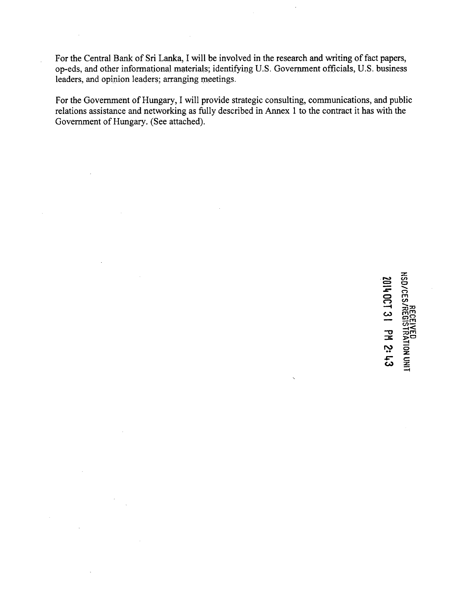For the Central Bank of Sri Lanka, I will be involved in the research and writing of fact papers, op-eds, and other informational materials; identifying U.S. Government officials, U.S. business leaders, and opinion leaders; arranging meetings.

For the Government of Hungary, I will provide strategic consulting, communications, and public relations assistance and networking as fully described in Annex 1 to the contract it has with the Government of Hungary. (See attached).

> **O —I CO HSD/CES. FRATION UNIT CO** *cz*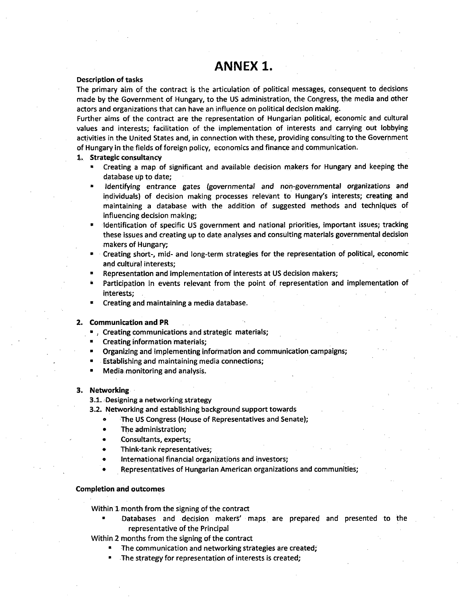# **ANNEX 1.**

### Description of tasks

The primary aim of the contract is the articulation of political messages, consequent to decisions made by the Government of Hungary, to the US administration, the Congress, the media and other actors and organizations that can have an influence on political decision making.

Further aims of the contract are the representation of Hungarian political, economic and cultural values and interests; facilitation of the implementation of interests and carrying out lobbying activities in the United States and, in connection with these, providing consulting to the Government of Hungary in the fields of foreign policy, economics and finance and communication.

#### **1. Strategic consultancy**

- Creating a map of significant and available decision makers for Hungary and keeping the database up to date;
- Identifying entrance gates (governmental and non-governmental organizations and individuals) of decision making processes relevant to Hungary's interests; creating and maintaining a database with the addition of suggested methods and techniques of influencing decision making;
- Identification of specific US government and national priorities, important issues; tracking these issues and creating up to date analyses and consulting materials governmental decision makers of Hungary;
- Creating short-, mid- and long-term strategies for the representation of political, economic and cultural interests;
- Representation and implementation of interests at US decision makers;
- Participation in events relevant from the point of representation and implementation of interests;
- Creating and maintaining a media database.

#### **2. Communication and PR**

- , Creating communications and strategic materials;
- Creating information materials;
- Organizing and implementing information and communication campaigns;
- Establishing and maintaining media connections;
- Media monitoring and analysis.

## **3. Networking**

- 3.1. Designing a networking strategy
- 3.2. Networking and establishing background support towards
	- The US Congress (House of Representatives and Senate);
	- The administration;
	- Consultants, experts;
	- Think-tank representatives;
	- International financial organizations and investors;
	- Representatives of Hungarian American organizations and communities;

#### **Completion and outcomes**

Within 1 month from the signing of the contract

• Databases and decision makers' maps are prepared and presented to the representative of the Principal

Within 2 months from the signing of the contract

- The communication and networking strategies are created;
- The strategy for representation of interests is created;